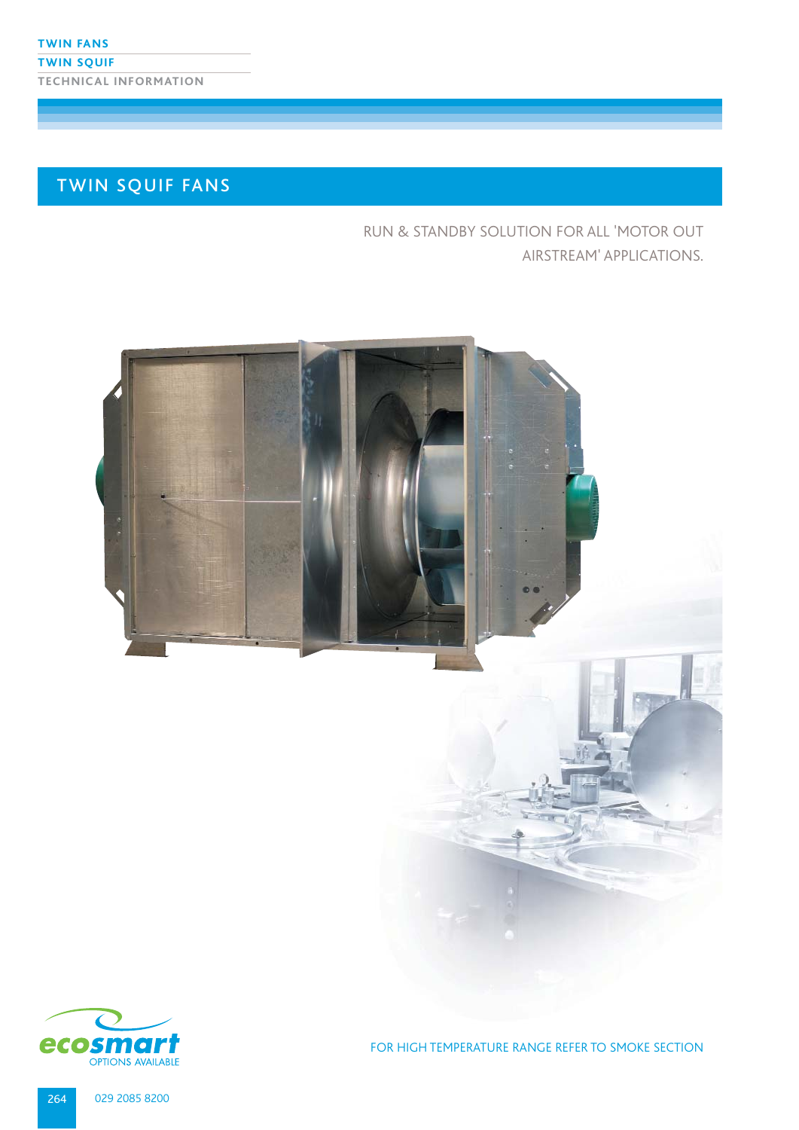# TWIN SQUIF FANS

RUN & STANDBY SOLUTION FOR ALL 'MOTOR OUT AIRSTREAM' APPLICATIONS.





FOR HIGH TEMPERATURE RANGE REFER TO SMOKE SECTION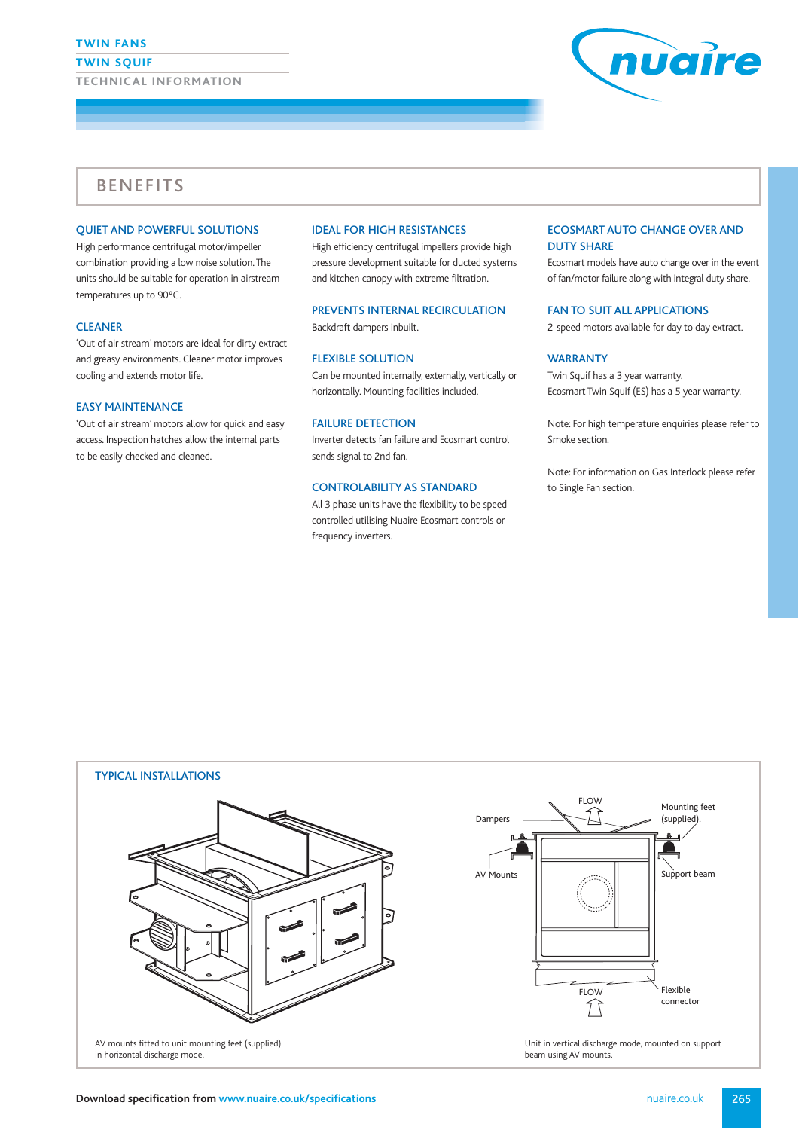#### **TWIN FANS**

**TWIN SQUIF**

**TECHNICAL INFORMATION**



# BENEFITS

#### QUIET AND POWERFUL SOLUTIONS

High performance centrifugal motor/impeller combination providing a low noise solution. The units should be suitable for operation in airstream temperatures up to 90ºC.

#### CLEANER

'Out of air stream' motors are ideal for dirty extract and greasy environments. Cleaner motor improves cooling and extends motor life.

### EASY MAINTENANCE

'Out of air stream' motors allow for quick and easy access. Inspection hatches allow the internal parts to be easily checked and cleaned.

### IDEAL FOR HIGH RESISTANCES

High efficiency centrifugal impellers provide high pressure development suitable for ducted systems and kitchen canopy with extreme filtration.

#### PREVENTS INTERNAL RECIRCULATION

Backdraft dampers inbuilt.

### FLEXIBLE SOLUTION

Can be mounted internally, externally, vertically or horizontally. Mounting facilities included.

#### FAILURE DETECTION

Inverter detects fan failure and Ecosmart control sends signal to 2nd fan.

#### CONTROLABILITY AS STANDARD

All 3 phase units have the flexibility to be speed controlled utilising Nuaire Ecosmart controls or frequency inverters.

#### ECOSMART AUTO CHANGE OVER AND DUTY SHARE

Ecosmart models have auto change over in the event of fan/motor failure along with integral duty share.

#### FAN TO SUIT ALL APPLICATIONS

2-speed motors available for day to day extract.

### WARRANTY

Twin Squif has a 3 year warranty. Ecosmart Twin Squif (ES) has a 5 year warranty.

Note: For high temperature enquiries please refer to Smoke section.

Note: For information on Gas Interlock please refer to Single Fan section.





Unit in vertical discharge mode, mounted on support beam using AV mounts.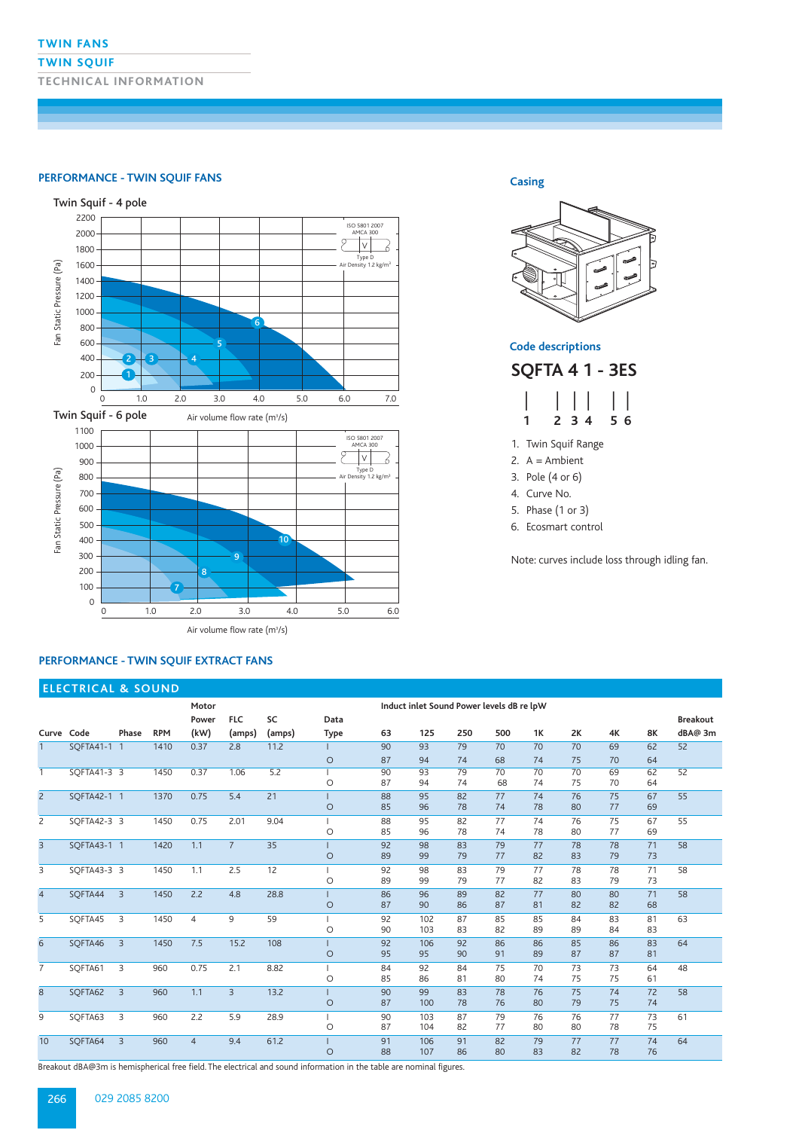#### **TWIN FANS**

### **TWIN SQUIF**

**TECHNICAL INFORMATION**

## **PERFORMANCE - TWIN SQUIF FANS Casing**



### **PERFORMANCE - TWIN SQUIF EXTRACT FANS**



**Code descriptions**

**SQFTA 4 1 - 3ES** 

|             | $\Box$ | $\vert \ \vert$ |
|-------------|--------|-----------------|
| $\mathbf 1$ | 234    | 56              |

1. Twin Squif Range

- 2.  $A =$  Ambient
- 3. Pole (4 or 6)
- 4. Curve No.
- 5. Phase (1 or 3)
- 6. Ecosmart control

Note: curves include loss through idling fan.

|                | <b>ELECTRICAL &amp; SOUND</b> |                |            |                |                |        |             |                                           |           |          |          |          |          |          |           |                 |
|----------------|-------------------------------|----------------|------------|----------------|----------------|--------|-------------|-------------------------------------------|-----------|----------|----------|----------|----------|----------|-----------|-----------------|
|                |                               |                |            | Motor          |                |        |             | Induct inlet Sound Power levels dB re lpW |           |          |          |          |          |          |           |                 |
|                |                               |                |            | Power          | <b>FLC</b>     | SC     | Data        |                                           |           |          |          |          |          |          |           | <b>Breakout</b> |
|                | Curve Code                    | Phase          | <b>RPM</b> | (kW)           | (amps)         | (amps) | <b>Type</b> | 63                                        | 125       | 250      | 500      | 1K       | 2K       | 4K       | <b>8K</b> | dBA@ 3m         |
| $\mathbf{1}$   | SOFTA41-1 1                   |                | 1410       | 0.37           | 2.8            | 11.2   |             | 90                                        | 93        | 79       | 70       | 70       | 70       | 69       | 62        | 52              |
|                |                               |                |            |                |                |        | O           | 87                                        | 94        | 74       | 68       | 74       | 75       | 70       | 64        |                 |
| $\overline{1}$ | SQFTA41-3 3                   |                | 1450       | 0.37           | 1.06           | 5.2    |             | 90                                        | 93        | 79       | 70       | 70       | 70       | 69       | 62        | 52              |
|                |                               |                |            |                |                |        | O           | 87                                        | 94        | 74       | 68       | 74       | 75       | 70       | 64        |                 |
| $\overline{2}$ | SOFTA42-1 1                   |                | 1370       | 0.75           | 5.4            | 21     |             | 88                                        | 95        | 82       | 77       | 74       | 76       | 75       | 67        | 55              |
|                |                               |                |            |                |                |        | O           | 85                                        | 96        | 78       | 74       | 78       | 80       | 77       | 69        |                 |
| 2              | SOFTA42-3 3                   |                | 1450       | 0.75           | 2.01           | 9.04   | O           | 88<br>85                                  | 95<br>96  | 82<br>78 | 77<br>74 | 74<br>78 | 76<br>80 | 75<br>77 | 67<br>69  | 55              |
| $\overline{3}$ | SOFTA43-1 1                   |                | 1420       | 1.1            | $7^{\circ}$    | 35     | $\circ$     | 92<br>89                                  | 98<br>99  | 83<br>79 | 79<br>77 | 77<br>82 | 78<br>83 | 78<br>79 | 71<br>73  | 58              |
| 3              | SOFTA43-3 3                   |                | 1450       | 1.1            | 2.5            | 12     |             | 92                                        | 98        | 83       | 79       | 77       | 78       | 78       | 71        | 58              |
|                |                               |                |            |                |                |        | $\circ$     | 89                                        | 99        | 79       | 77       | 82       | 83       | 79       | 73        |                 |
| $\overline{4}$ | SOFTA44                       | $\overline{3}$ | 1450       | 2.2            | 4.8            | 28.8   | $\circ$     | 86<br>87                                  | 96<br>90  | 89<br>86 | 82<br>87 | 77<br>81 | 80<br>82 | 80<br>82 | 71<br>68  | 58              |
| 5              | SOFTA45                       | 3              | 1450       | $\overline{4}$ | 9              | 59     |             | 92                                        | 102       | 87       | 85       | 85       | 84       | 83       | 81        | 63              |
|                |                               |                |            |                |                |        | O           | 90                                        | 103       | 83       | 82       | 89       | 89       | 84       | 83        |                 |
| 6              | SOFTA46                       | $\overline{3}$ | 1450       | 7.5            | 15.2           | 108    | $\circ$     | 92<br>95                                  | 106<br>95 | 92<br>90 | 86<br>91 | 86<br>89 | 85<br>87 | 86<br>87 | 83<br>81  | 64              |
| $\overline{7}$ | SOFTA61                       | 3              | 960        | 0.75           | 2.1            | 8.82   |             | 84                                        | 92        | 84       | 75       | 70       | 73       | 73       | 64        | 48              |
|                |                               |                |            |                |                |        | O           | 85                                        | 86        | 81       | 80       | 74       | 75       | 75       | 61        |                 |
| 8              | SOFTA62                       | $\overline{3}$ | 960        | 1.1            | $\overline{3}$ | 13.2   | $\circ$     | 90<br>87                                  | 99<br>100 | 83<br>78 | 78<br>76 | 76<br>80 | 75<br>79 | 74<br>75 | 72<br>74  | 58              |
| 9              | SOFTA63                       | 3              | 960        | 2.2            | 5.9            | 28.9   |             | 90                                        | 103       | 87       | 79       | 76       | 76       | 77       | 73        | 61              |
|                |                               |                |            |                |                |        | O           | 87                                        | 104       | 82       | 77       | 80       | 80       | 78       | 75        |                 |
| 10             | SOFTA64                       | $\overline{3}$ | 960        | $\overline{4}$ | 9.4            | 61.2   |             | 91                                        | 106       | 91       | 82       | 79       | 77       | 77       | 74        | 64              |
|                |                               |                |            |                |                |        | $\circ$     | 88                                        | 107       | 86       | 80       | 83       | 82       | 78       | 76        |                 |

Breakout dBA@3m is hemispherical free field. The electrical and sound information in the table are nominal figures.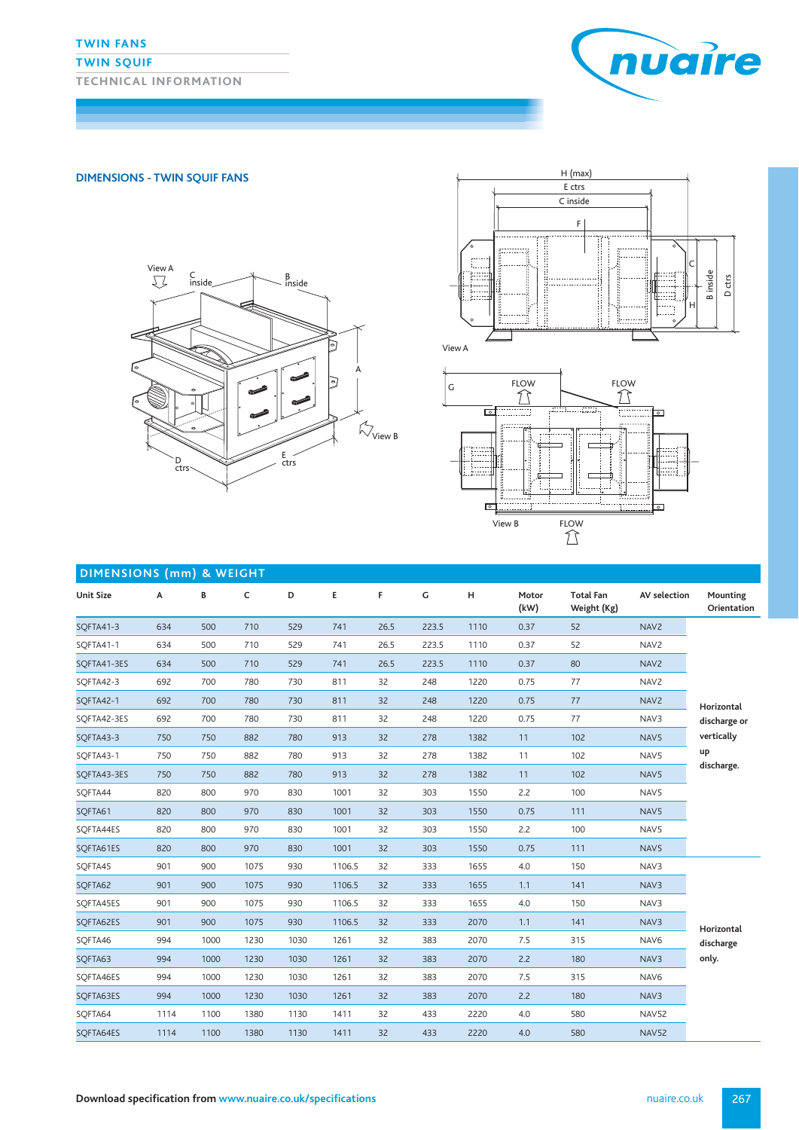### **TWIN SQUIF**

**TECHNICAL INFORMATION**



### **DIMENSIONS - TWIN SQUIF FANS**





View A



| <b>DIMENSIONS (mm) &amp; WEIGHT</b> |      |      |      |      |        |      |               |      |               |                                 |                  |                         |
|-------------------------------------|------|------|------|------|--------|------|---------------|------|---------------|---------------------------------|------------------|-------------------------|
| <b>Unit Size</b>                    | Α    | В    | c    | D    | E      | F    | ${\mathsf G}$ | н    | Motor<br>(kW) | <b>Total Fan</b><br>Weight (Kg) | AV selection     | Mounting<br>Orientation |
| SQFTA41-3                           | 634  | 500  | 710  | 529  | 741    | 26.5 | 223.5         | 1110 | 0.37          | 52                              | NAV2             |                         |
| SOFTA41-1                           | 634  | 500  | 710  | 529  | 741    | 26.5 | 223.5         | 1110 | 0.37          | 52                              | NAV <sub>2</sub> |                         |
| SQFTA41-3ES                         | 634  | 500  | 710  | 529  | 741    | 26.5 | 223.5         | 1110 | 0.37          | 80                              | NAV <sub>2</sub> |                         |
| SOFTA42-3                           | 692  | 700  | 780  | 730  | 811    | 32   | 248           | 1220 | 0.75          | 77                              | NAV2             |                         |
| SQFTA42-1                           | 692  | 700  | 780  | 730  | 811    | 32   | 248           | 1220 | 0.75          | 77                              | NAV <sub>2</sub> | Horizontal              |
| SQFTA42-3ES                         | 692  | 700  | 780  | 730  | 811    | 32   | 248           | 1220 | 0.75          | 77                              | NAV3             | discharge or            |
| SQFTA43-3                           | 750  | 750  | 882  | 780  | 913    | 32   | 278           | 1382 | 11            | 102                             | NAV5             | vertically              |
| SQFTA43-1                           | 750  | 750  | 882  | 780  | 913    | 32   | 278           | 1382 | 11            | 102<br>NAV5                     |                  | up                      |
| SQFTA43-3ES                         | 750  | 750  | 882  | 780  | 913    | 32   | 278           | 1382 | 11            | 102                             | NAV5             | discharge.              |
| SQFTA44                             | 820  | 800  | 970  | 830  | 1001   | 32   | 303           | 1550 | 2.2           | 100                             | NAV5             |                         |
| SQFTA61                             | 820  | 800  | 970  | 830  | 1001   | 32   | 303           | 1550 | 0.75          | 111                             | NAV5             |                         |
| SQFTA44ES                           | 820  | 800  | 970  | 830  | 1001   | 32   | 303           | 1550 | 2.2           | 100                             | NAV5             |                         |
| SQFTA61ES                           | 820  | 800  | 970  | 830  | 1001   | 32   | 303           | 1550 | 0.75          | 111                             | NAV5             |                         |
| SQFTA45                             | 901  | 900  | 1075 | 930  | 1106.5 | 32   | 333           | 1655 | 4.0           | 150                             | NAV3             |                         |
| SQFTA62                             | 901  | 900  | 1075 | 930  | 1106.5 | 32   | 333           | 1655 | 1.1           | 141                             | NAV3             |                         |
| SQFTA45ES                           | 901  | 900  | 1075 | 930  | 1106.5 | 32   | 333           | 1655 | 4.0           | 150                             | NAV3             |                         |
| SQFTA62ES                           | 901  | 900  | 1075 | 930  | 1106.5 | 32   | 333           | 2070 | 1.1           | 141                             | NAV3             | Horizontal              |
| SQFTA46                             | 994  | 1000 | 1230 | 1030 | 1261   | 32   | 383           | 2070 | 7.5           | 315                             | NAV6             | discharge               |
| SQFTA63                             | 994  | 1000 | 1230 | 1030 | 1261   | 32   | 383           | 2070 | 2.2           | 180                             | NAV3             | only.                   |
| SQFTA46ES                           | 994  | 1000 | 1230 | 1030 | 1261   | 32   | 383           | 2070 | 7.5           | 315                             | NAV6             |                         |
| SQFTA63ES                           | 994  | 1000 | 1230 | 1030 | 1261   | 32   | 383           | 2070 | 2.2           | 180                             | NAV3             |                         |
| SQFTA64                             | 1114 | 1100 | 1380 | 1130 | 1411   | 32   | 433           | 2220 | 4.0           | 580                             | NAV52            |                         |
| SQFTA64ES                           | 1114 | 1100 | 1380 | 1130 | 1411   | 32   | 433           | 2220 | 4.0           | 580                             | <b>NAV52</b>     |                         |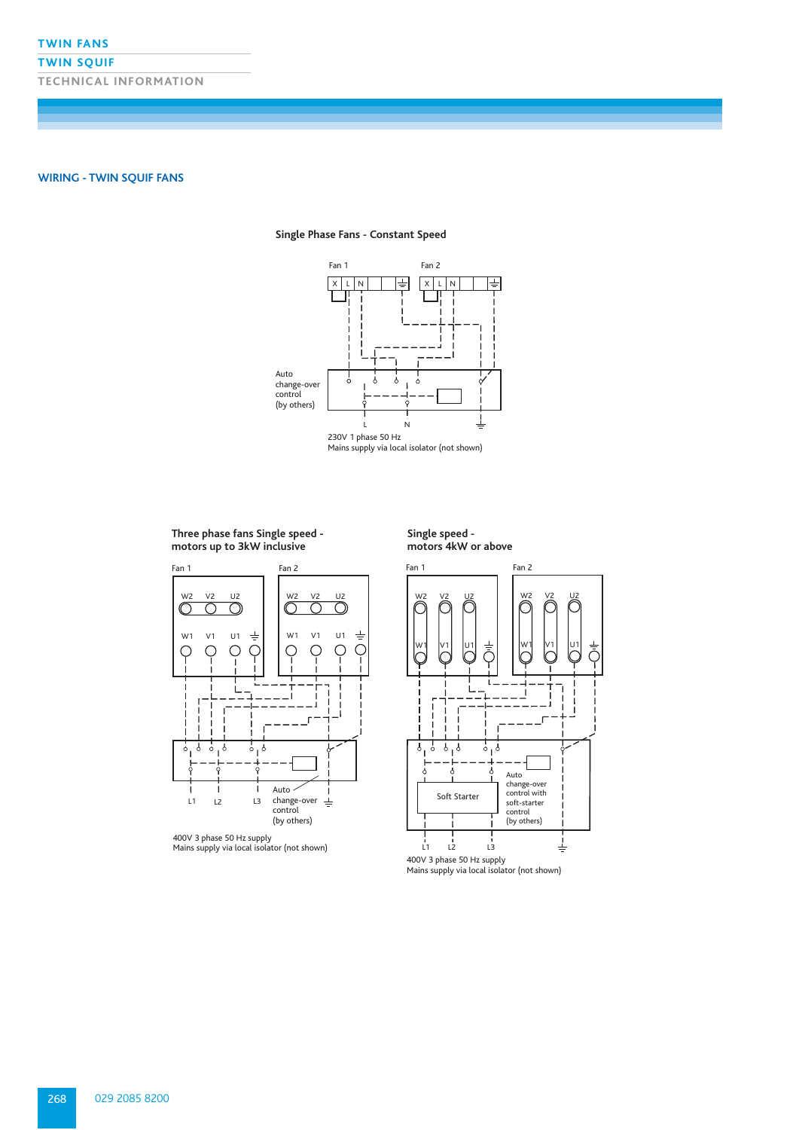### **TWIN SQUIF**

**TECHNICAL INFORMATION**

**WIRING - TWIN SQUIF FANS**

### **Single Phase Fans - Constant Speed**



#### **Three phase fans Single speed motors up to 3kW inclusive**









400V 3 phase 50 Hz supply Mains supply via local isolator (not shown)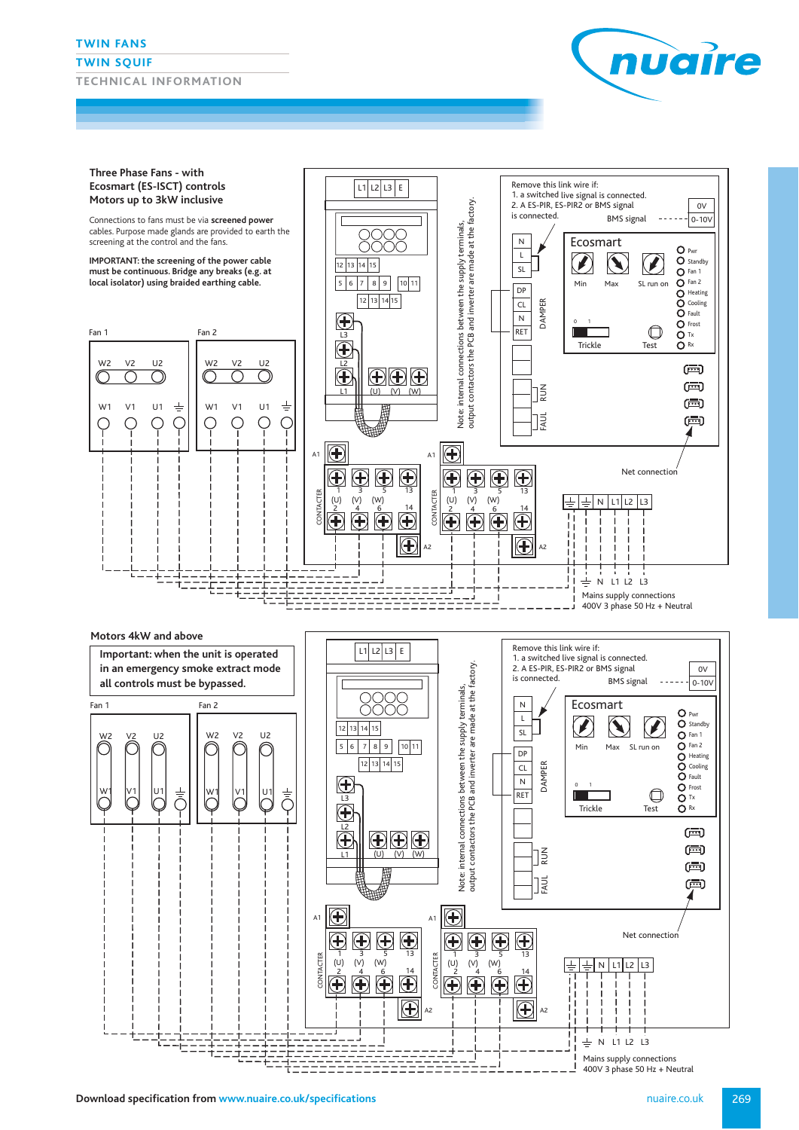#### **TWIN FANS**

#### **TWIN SQUIF**

**TECHNICAL INFORMATION**